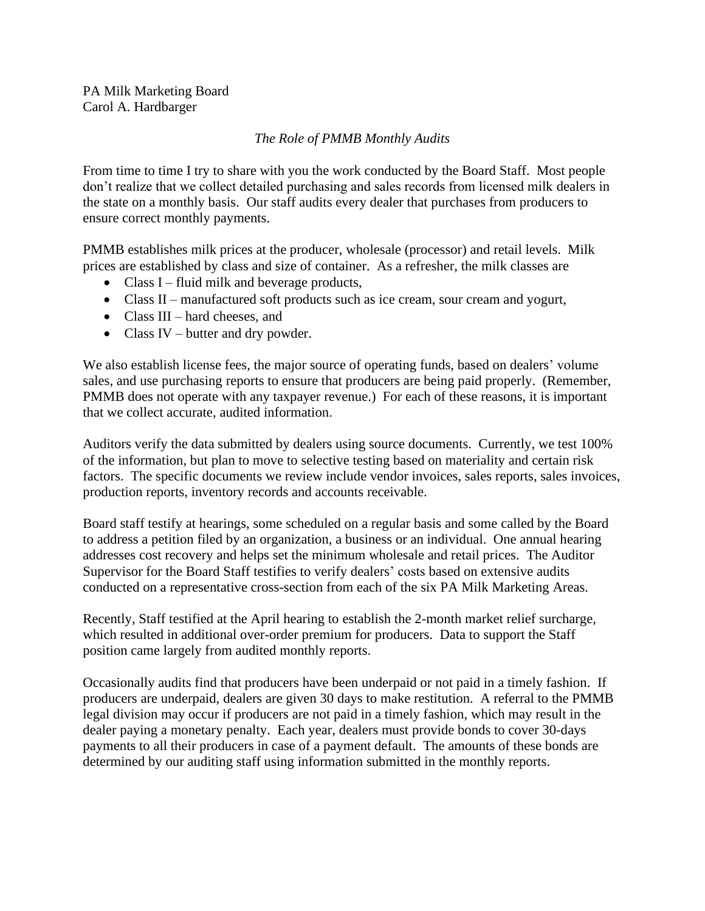## *The Role of PMMB Monthly Audits*

From time to time I try to share with you the work conducted by the Board Staff. Most people don't realize that we collect detailed purchasing and sales records from licensed milk dealers in the state on a monthly basis. Our staff audits every dealer that purchases from producers to ensure correct monthly payments.

PMMB establishes milk prices at the producer, wholesale (processor) and retail levels. Milk prices are established by class and size of container. As a refresher, the milk classes are

- Class I fluid milk and beverage products,
- Class II manufactured soft products such as ice cream, sour cream and yogurt,
- Class III hard cheeses, and
- Class IV butter and dry powder.

We also establish license fees, the major source of operating funds, based on dealers' volume sales, and use purchasing reports to ensure that producers are being paid properly. (Remember, PMMB does not operate with any taxpayer revenue.) For each of these reasons, it is important that we collect accurate, audited information.

Auditors verify the data submitted by dealers using source documents. Currently, we test 100% of the information, but plan to move to selective testing based on materiality and certain risk factors. The specific documents we review include vendor invoices, sales reports, sales invoices, production reports, inventory records and accounts receivable.

Board staff testify at hearings, some scheduled on a regular basis and some called by the Board to address a petition filed by an organization, a business or an individual. One annual hearing addresses cost recovery and helps set the minimum wholesale and retail prices. The Auditor Supervisor for the Board Staff testifies to verify dealers' costs based on extensive audits conducted on a representative cross-section from each of the six PA Milk Marketing Areas.

Recently, Staff testified at the April hearing to establish the 2-month market relief surcharge, which resulted in additional over-order premium for producers. Data to support the Staff position came largely from audited monthly reports.

Occasionally audits find that producers have been underpaid or not paid in a timely fashion. If producers are underpaid, dealers are given 30 days to make restitution. A referral to the PMMB legal division may occur if producers are not paid in a timely fashion, which may result in the dealer paying a monetary penalty. Each year, dealers must provide bonds to cover 30-days payments to all their producers in case of a payment default. The amounts of these bonds are determined by our auditing staff using information submitted in the monthly reports.